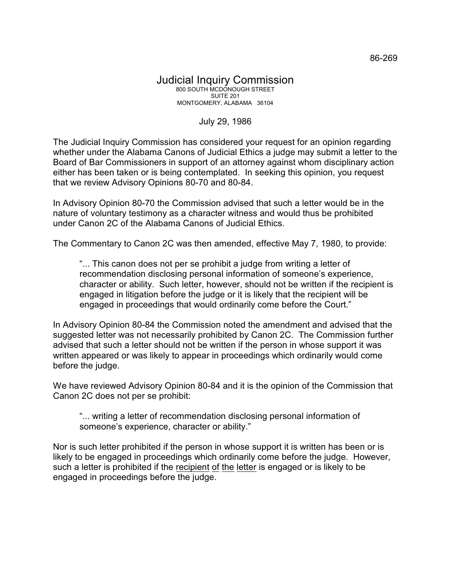## July 29, 1986

The Judicial Inquiry Commission has considered your request for an opinion regarding whether under the Alabama Canons of Judicial Ethics a judge may submit a letter to the Board of Bar Commissioners in support of an attorney against whom disciplinary action either has been taken or is being contemplated. In seeking this opinion, you request that we review Advisory Opinions 80-70 and 80-84.

In Advisory Opinion 80-70 the Commission advised that such a letter would be in the nature of voluntary testimony as a character witness and would thus be prohibited under Canon 2C of the Alabama Canons of Judicial Ethics.

The Commentary to Canon 2C was then amended, effective May 7, 1980, to provide:

"... This canon does not per se prohibit a judge from writing a letter of recommendation disclosing personal information of someone's experience, character or ability. Such letter, however, should not be written if the recipient is engaged in litigation before the judge or it is likely that the recipient will be engaged in proceedings that would ordinarily come before the Court."

In Advisory Opinion 80-84 the Commission noted the amendment and advised that the suggested letter was not necessarily prohibited by Canon 2C. The Commission further advised that such a letter should not be written if the person in whose support it was written appeared or was likely to appear in proceedings which ordinarily would come before the judge.

We have reviewed Advisory Opinion 80-84 and it is the opinion of the Commission that Canon 2C does not per se prohibit:

"... writing a letter of recommendation disclosing personal information of someone's experience, character or ability."

Nor is such letter prohibited if the person in whose support it is written has been or is likely to be engaged in proceedings which ordinarily come before the judge. However, such a letter is prohibited if the recipient of the letter is engaged or is likely to be engaged in proceedings before the judge.